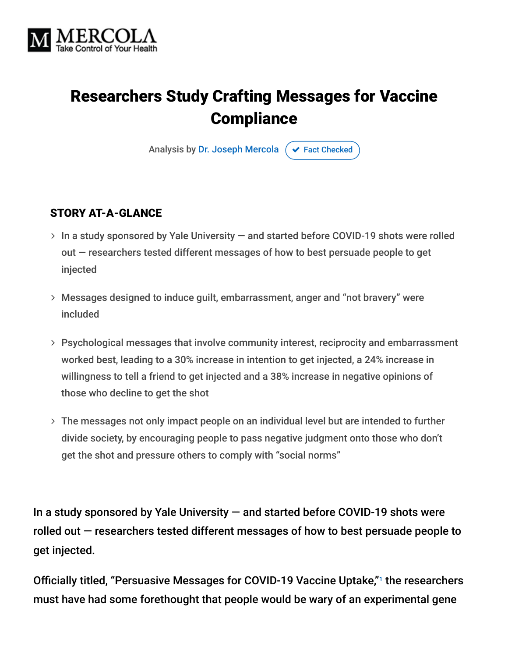

# Researchers Study Crafting Messages for Vaccine **Compliance**

Analysis by [Dr. Joseph Mercola](https://www.mercola.com/forms/background.htm)  $\sigma$  [Fact Checked](javascript:void(0))

#### STORY AT-A-GLANCE

- $>$  In a study sponsored by Yale University  $-$  and started before COVID-19 shots were rolled out — researchers tested different messages of how to best persuade people to get injected
- Messages designed to induce guilt, embarrassment, anger and "not bravery" were included
- Psychological messages that involve community interest, reciprocity and embarrassment worked best, leading to a 30% increase in intention to get injected, a 24% increase in willingness to tell a friend to get injected and a 38% increase in negative opinions of those who decline to get the shot
- The messages not only impact people on an individual level but are intended to further divide society, by encouraging people to pass negative judgment onto those who don't get the shot and pressure others to comply with "social norms"

In a study sponsored by Yale University — and started before COVID-19 shots were rolled out — researchers tested different messages of how to best persuade people to get injected.

Officially titled, "Persuasive Messages for COVID-19 Vaccine Uptake,"1 the researchers must have had some forethought that people would be wary of an experimental gene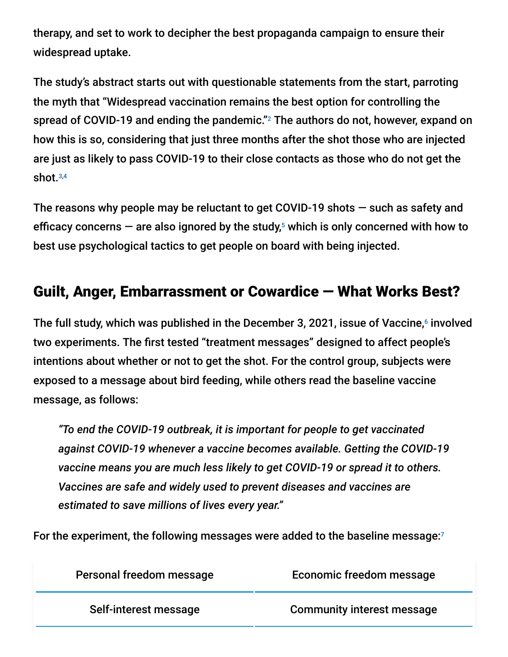therapy, and set to work to decipher the best propaganda campaign to ensure their widespread uptake.

The study's abstract starts out with questionable statements from the start, parroting the myth that "Widespread vaccination remains the best option for controlling the spread of COVID-19 and ending the pandemic." $^2$  The authors do not, however, expand on how this is so, considering that just three months after the shot those who are injected are just as likely to pass COVID-19 to their close contacts as those who do not get the shot. 3,4

The reasons why people may be reluctant to get COVID-19 shots  $-$  such as safety and efficacy concerns  $-$  are also ignored by the study, $5$  which is only concerned with how to best use psychological tactics to get people on board with being injected.

## Guilt, Anger, Embarrassment or Cowardice — What Works Best?

The full study, which was published in the December 3, 2021, issue of Vaccine,6 involved two experiments. The first tested "treatment messages" designed to affect people's intentions about whether or not to get the shot. For the control group, subjects were exposed to a message about bird feeding, while others read the baseline vaccine message, as follows:

*"To end the COVID-19 outbreak, it is important for people to get vaccinated against COVID-19 whenever a vaccine becomes available. Getting the COVID-19 vaccine means you are much less likely to get COVID-19 or spread it to others. Vaccines are safe and widely used to prevent diseases and vaccines are estimated to save millions of lives every year."*

For the experiment, the following messages were added to the baseline message: 7

| Personal freedom message | Economic freedom message          |
|--------------------------|-----------------------------------|
| Self-interest message    | <b>Community interest message</b> |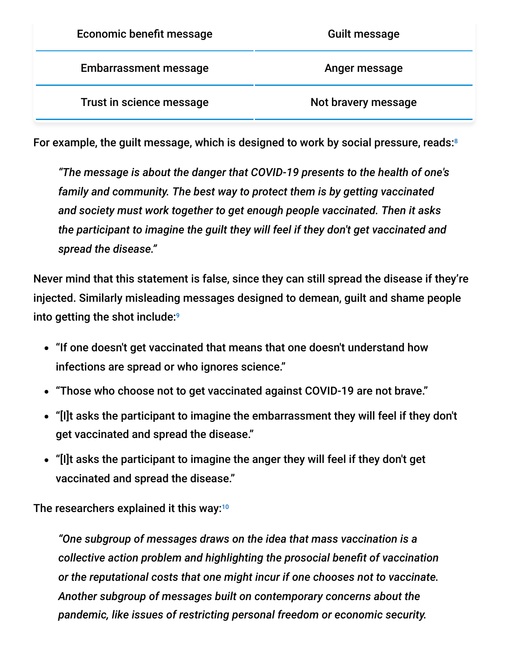| <b>Economic benefit message</b> | Guilt message       |
|---------------------------------|---------------------|
| <b>Embarrassment message</b>    | Anger message       |
| Trust in science message        | Not bravery message |

For example, the guilt message, which is designed to work by social pressure, reads: 8

*"The message is about the danger that COVID-19 presents to the health of one's family and community. The best way to protect them is by getting vaccinated and society must work together to get enough people vaccinated. Then it asks the participant to imagine the guilt they will feel if they don't get vaccinated and spread the disease."*

Never mind that this statement is false, since they can still spread the disease if they're injected. Similarly misleading messages designed to demean, guilt and shame people into getting the shot include: 9

- "If one doesn't get vaccinated that means that one doesn't understand how infections are spread or who ignores science."
- "Those who choose not to get vaccinated against COVID-19 are not brave."
- "[I]t asks the participant to imagine the embarrassment they will feel if they don't get vaccinated and spread the disease."
- "[I]t asks the participant to imagine the anger they will feel if they don't get vaccinated and spread the disease."

The researchers explained it this way:<sup>10</sup>

*"One subgroup of messages draws on the idea that mass vaccination is a collective action problem and highlighting the prosocial benefit of vaccination or the reputational costs that one might incur if one chooses not to vaccinate. Another subgroup of messages built on contemporary concerns about the pandemic, like issues of restricting personal freedom or economic security.*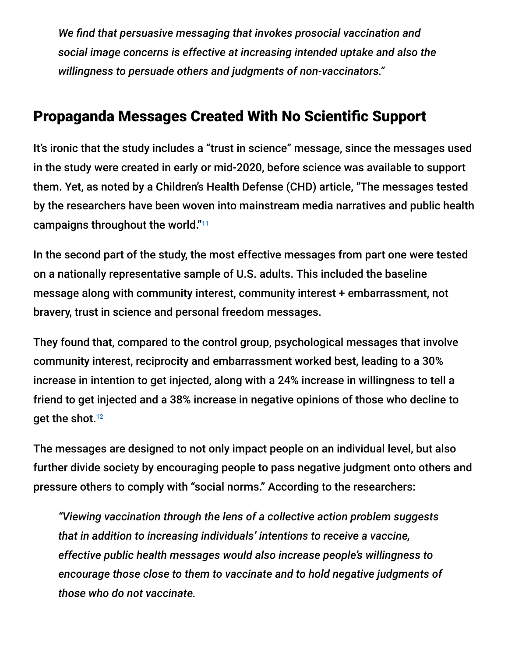*We find that persuasive messaging that invokes prosocial vaccination and social image concerns is effective at increasing intended uptake and also the willingness to persuade others and judgments of non-vaccinators."*

### Propaganda Messages Created With No Scientific Support

It's ironic that the study includes a "trust in science" message, since the messages used in the study were created in early or mid-2020, before science was available to support them. Yet, as noted by a Children's Health Defense (CHD) article, "The messages tested by the researchers have been woven into mainstream media narratives and public health campaigns throughout the world." 11

In the second part of the study, the most effective messages from part one were tested on a nationally representative sample of U.S. adults. This included the baseline message along with community interest, community interest + embarrassment, not bravery, trust in science and personal freedom messages.

They found that, compared to the control group, psychological messages that involve community interest, reciprocity and embarrassment worked best, leading to a 30% increase in intention to get injected, along with a 24% increase in willingness to tell a friend to get injected and a 38% increase in negative opinions of those who decline to get the shot. 12

The messages are designed to not only impact people on an individual level, but also further divide society by encouraging people to pass negative judgment onto others and pressure others to comply with "social norms." According to the researchers:

*"Viewing vaccination through the lens of a collective action problem suggests that in addition to increasing individuals' intentions to receive a vaccine, effective public health messages would also increase people's willingness to encourage those close to them to vaccinate and to hold negative judgments of those who do not vaccinate.*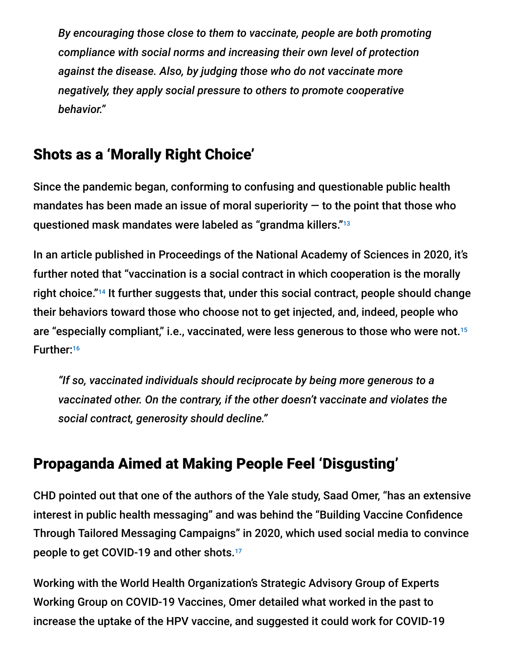*By encouraging those close to them to vaccinate, people are both promoting compliance with social norms and increasing their own level of protection against the disease. Also, by judging those who do not vaccinate more negatively, they apply social pressure to others to promote cooperative behavior."*

## Shots as a 'Morally Right Choice'

Since the pandemic began, conforming to confusing and questionable public health mandates has been made an issue of moral superiority  $-$  to the point that those who questioned mask mandates were labeled as "grandma killers." 13

In an article published in Proceedings of the National Academy of Sciences in 2020, it's further noted that "vaccination is a social contract in which cooperation is the morally right choice."<sup>14</sup> It further suggests that, under this social contract, people should change their behaviors toward those who choose not to get injected, and, indeed, people who are "especially compliant," i.e., vaccinated, were less generous to those who were not. 15 Further: 16

*"If so, vaccinated individuals should reciprocate by being more generous to a vaccinated other. On the contrary, if the other doesn't vaccinate and violates the social contract, generosity should decline."*

# Propaganda Aimed at Making People Feel 'Disgusting'

CHD pointed out that one of the authors of the Yale study, Saad Omer, "has an extensive interest in public health messaging" and was behind the "Building Vaccine Confidence Through Tailored Messaging Campaigns" in 2020, which used social media to convince people to get COVID-19 and other shots. 17

Working with the World Health Organization's Strategic Advisory Group of Experts Working Group on COVID-19 Vaccines, Omer detailed what worked in the past to increase the uptake of the HPV vaccine, and suggested it could work for COVID-19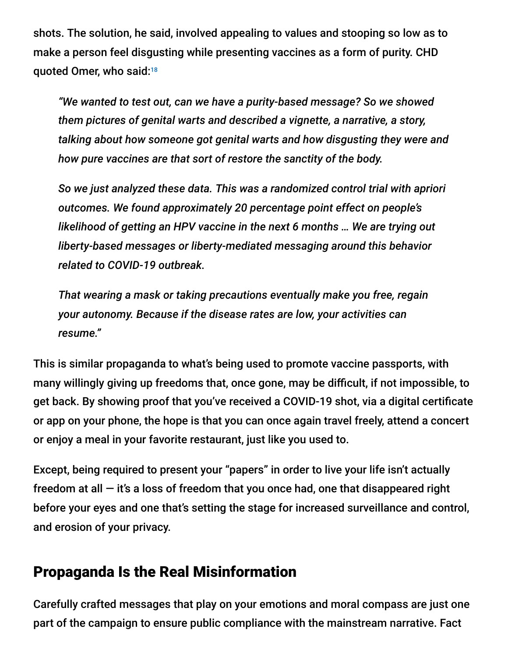shots. The solution, he said, involved appealing to values and stooping so low as to make a person feel disgusting while presenting vaccines as a form of purity. CHD quoted Omer, who said: 18

*"We wanted to test out, can we have a purity-based message? So we showed them pictures of genital warts and described a vignette, a narrative, a story, talking about how someone got genital warts and how disgusting they were and how pure vaccines are that sort of restore the sanctity of the body.*

*So we just analyzed these data. This was a randomized control trial with apriori outcomes. We found approximately 20 percentage point effect on people's likelihood of getting an HPV vaccine in the next 6 months … We are trying out liberty-based messages or liberty-mediated messaging around this behavior related to COVID-19 outbreak.*

*That wearing a mask or taking precautions eventually make you free, regain your autonomy. Because if the disease rates are low, your activities can resume."*

This is similar propaganda to what's being used to promote vaccine passports, with many willingly giving up freedoms that, once gone, may be difficult, if not impossible, to get back. By showing proof that you've received a COVID-19 shot, via a digital certificate or app on your phone, the hope is that you can once again travel freely, attend a concert or enjoy a meal in your favorite restaurant, just like you used to.

Except, being required to present your "papers" in order to live your life isn't actually freedom at all  $-$  it's a loss of freedom that you once had, one that disappeared right before your eyes and one that's setting the stage for increased surveillance and control, and erosion of your privacy.

#### Propaganda Is the Real Misinformation

Carefully crafted messages that play on your emotions and moral compass are just one part of the campaign to ensure public compliance with the mainstream narrative. Fact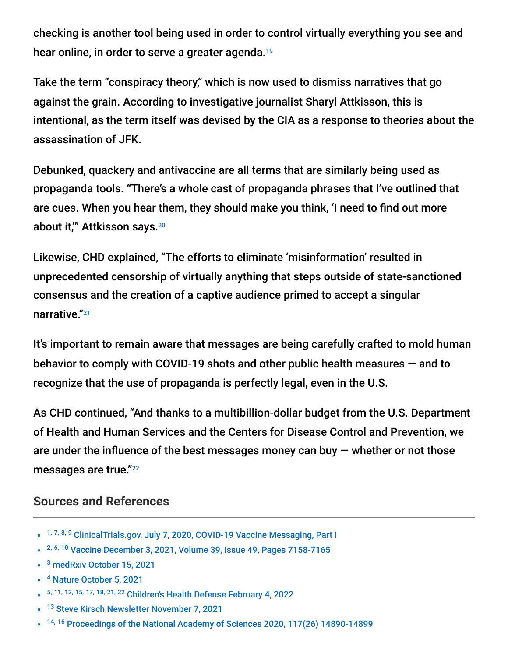checking is another tool being used in order to control virtually everything you see and hear online, in order to serve a greater agenda. 19

Take the term "conspiracy theory," which is now used to dismiss narratives that go against the grain. According to investigative journalist Sharyl Attkisson, this is intentional, as the term itself was devised by the CIA as a response to theories about the assassination of JFK.

Debunked, quackery and antivaccine are all terms that are similarly being used as propaganda tools. "There's a whole cast of propaganda phrases that I've outlined that are cues. When you hear them, they should make you think, 'I need to find out more about it,'" Attkisson says. 20

Likewise, CHD explained, "The efforts to eliminate 'misinformation' resulted in unprecedented censorship of virtually anything that steps outside of state-sanctioned consensus and the creation of a captive audience primed to accept a singular narrative." 21

It's important to remain aware that messages are being carefully crafted to mold human behavior to comply with COVID-19 shots and other public health measures — and to recognize that the use of propaganda is perfectly legal, even in the U.S.

As CHD continued, "And thanks to a multibillion-dollar budget from the U.S. Department of Health and Human Services and the Centers for Disease Control and Prevention, we are under the influence of the best messages money can buy  $-$  whether or not those messages are true."<sup>22</sup>

#### **Sources and References**

- <sup>1, 7, 8, 9</sup> [ClinicalTrials.gov, July 7, 2020, COVID-19 Vaccine Messaging, Part I](https://clinicaltrials.gov/ct2/show/NCT04460703?term=NCT04460703&draw=2&rank=1)
- <sup>2, 6, 10</sup> [Vaccine December 3, 2021, Volume 39, Issue 49, Pages 7158-7165](https://www.sciencedirect.com/science/article/pii/S0264410X21013682?via%3Dihub)
- <sup>3</sup> [medRxiv October 15, 2021](https://www.medrxiv.org/content/10.1101/2021.09.28.21264260v2)
- <sup>4</sup> [Nature October 5, 2021](https://www.nature.com/articles/d41586-021-02689-y#ref-CR1)
- 5, 11, 12, 15, 17, 18, 21, 22 [Children's Health Defense February 4, 2022](https://childrenshealthdefense.org/defender/manipulation-guilt-shame-vaccine-compliance/)
- <sup>13</sup> [Steve Kirsch Newsletter November 7, 2021](https://stevekirsch.substack.com/p/do-masks-work)
- $14, 16$  [Proceedings of the National Academy of Sciences 2020, 117\(26\) 14890-14899](https://www.mendeley.com/catalogue/b17350e8-d3ed-3b64-bc50-6384438134eb/)